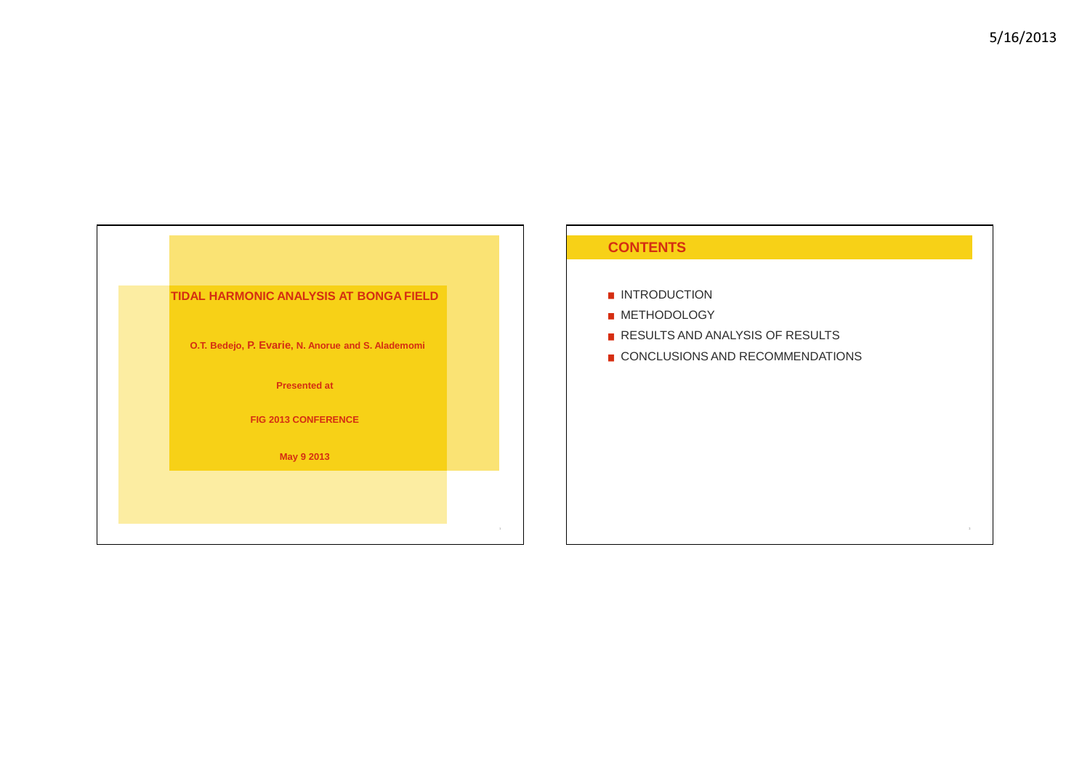

#### **CONTENTS**

- **INTRODUCTION**
- **METHODOLOGY**
- RESULTS AND ANALYSIS OF RESULTS
- CONCLUSIONS AND RECOMMENDATIONS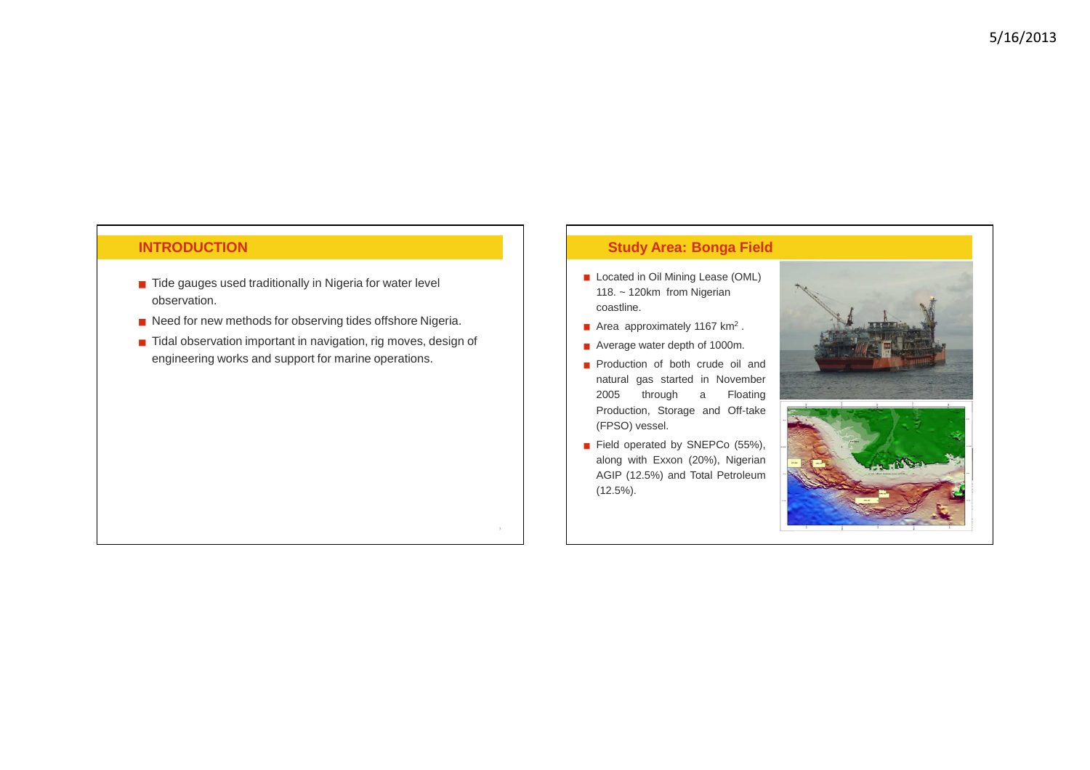### **INTRODUCTION**

- Tide gauges used traditionally in Nigeria for water level observation.
- Need for new methods for observing tides offshore Nigeria.
- Tidal observation important in navigation, rig moves, design of engineering works and support for marine operations.

#### **Study Area: Bonga Field**

- Located in Oil Mining Lease (OML) 118. ~ 120km from Nigerian coastline.
- Area approximately 1167  $km<sup>2</sup>$ .
- Average water depth of 1000m.
- **Production of both crude oil and**  natural gas started in November 2005 through <sup>a</sup> Floating Production, Storage and Off-take(FPSO) vessel.
- Field operated by SNEPCo (55%), along with Exxon (20%), Nigerian AGIP (12.5%) and Total Petroleum(12.5%).

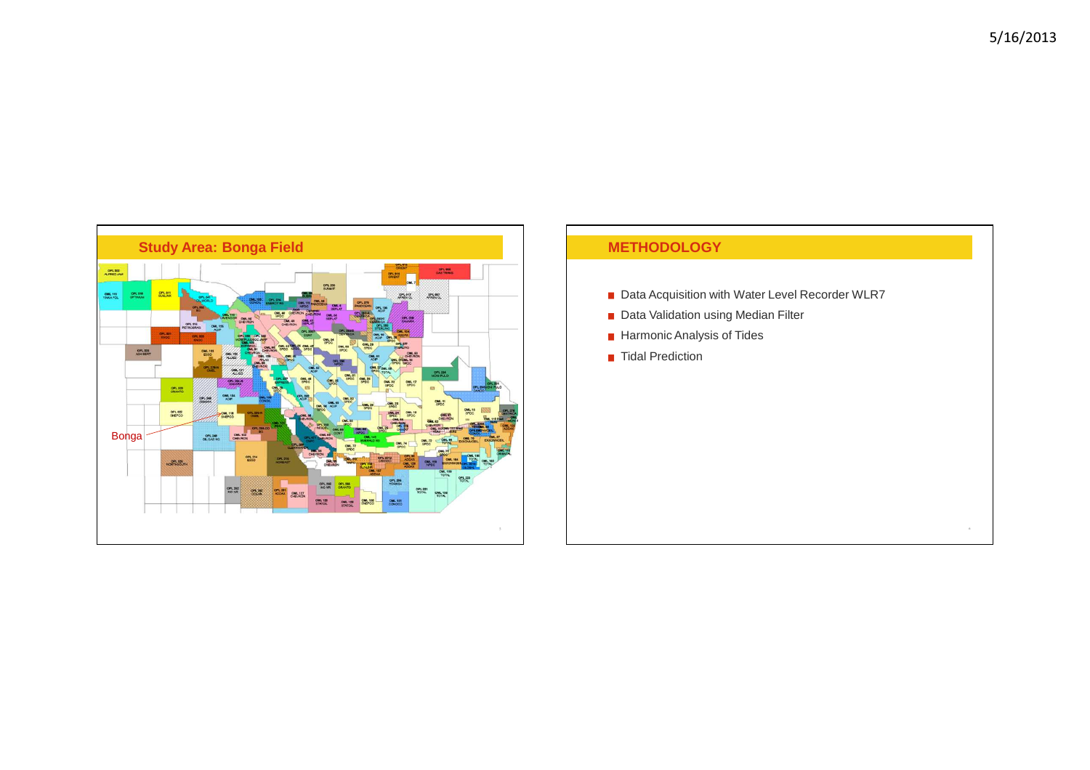

# **METHODOLOGY**

- Data Acquisition with Water Level Recorder WLR7
- Data Validation using Median Filter
- **Harmonic Analysis of Tides**
- Tidal Prediction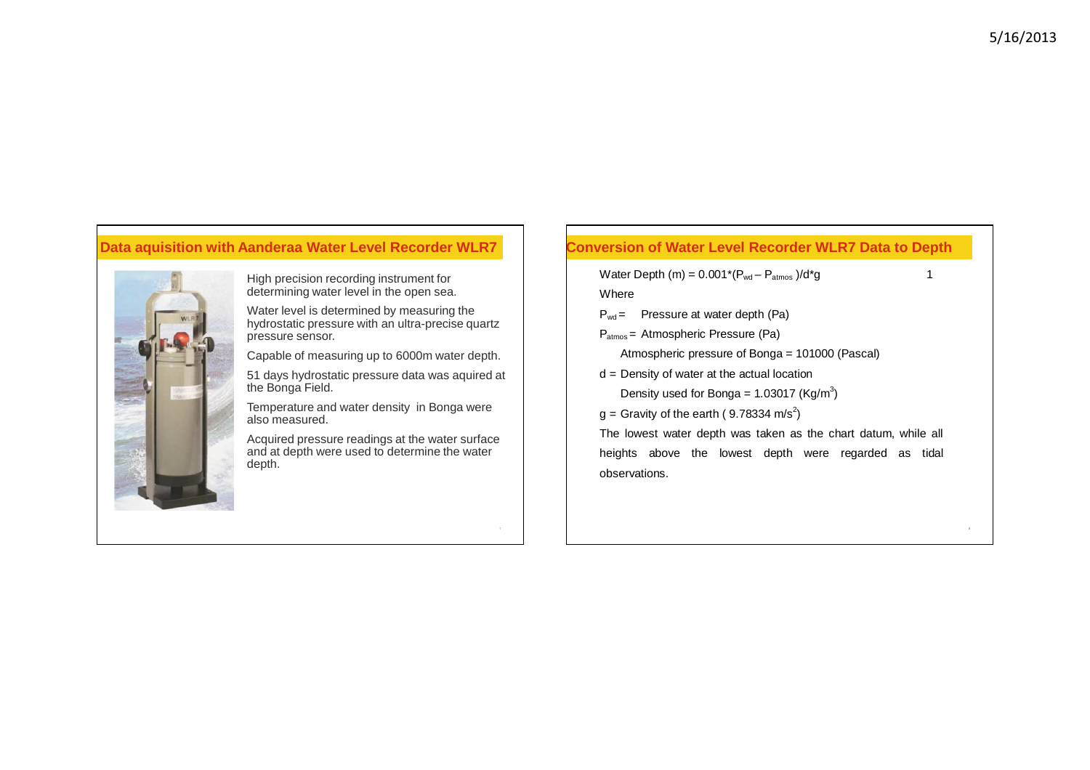# **Data aquisition with Aanderaa Water Level Recorder WLR7**



High precision recording instrument for determining water level in the open sea.

Water level is determined by measuring the hydrostatic pressure with an ultra-precise quartz pressure sensor.

Capable of measuring up to 6000m water depth.

51 days hydrostatic pressure data was aquired at the Bonga Field.

Temperature and water density in Bonga were also measured.

Acquired pressure readings at the water surface and at depth were used to determine the water depth.

## **Conversion of Water Level Recorder WLR7 Data to Depth**

Water Depth  $(m) = 0.001^*(P_{wd} - P_{atmos})/d^*g$  1

Where

- $P_{wd}$  = Pressure at water depth (Pa)
- P<sub>atmos</sub> = Atmospheric Pressure (Pa)

Atmospheric pressure of Bonga = 101000 (Pascal)

d = Density of water at the actual location

Density used for Bonga =  $1.03017$  (Kg/m<sup>3</sup>)

 $g =$  Gravity of the earth (9.78334 m/s<sup>2</sup>)

The lowest water depth was taken as the chart datum, while all heights above the lowest depth were regarded as tidal observations.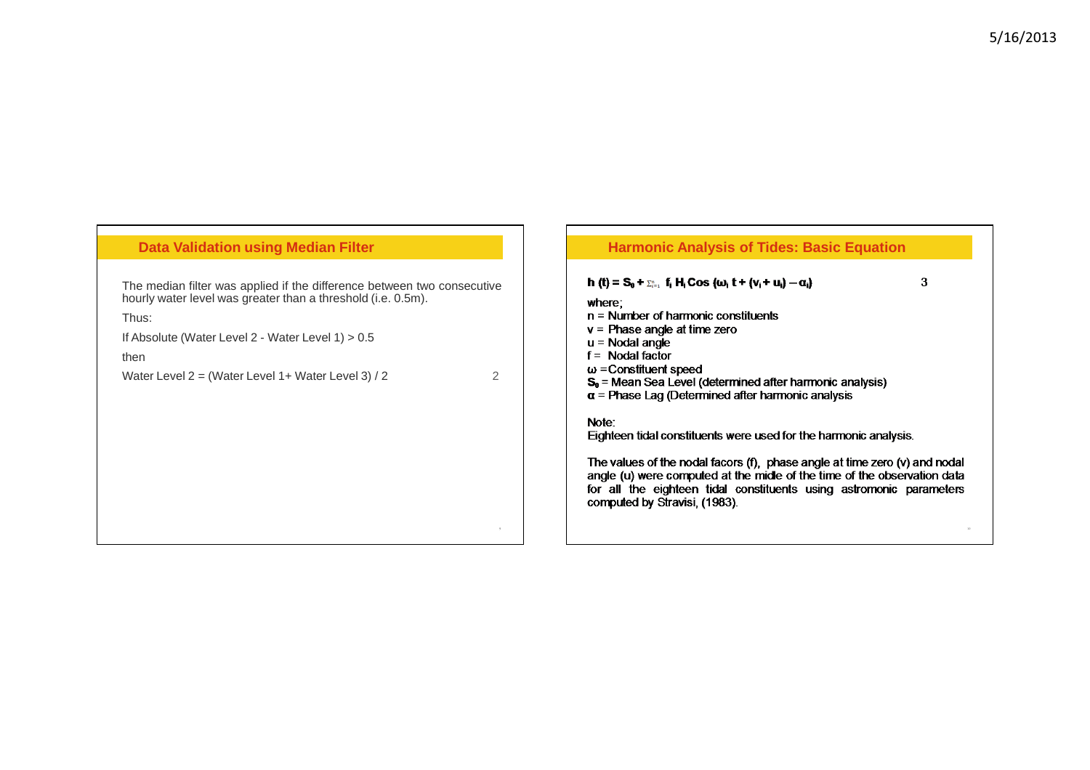| <b>Data Validation using Median Filter</b>                                                                                                                                                                                                                                                   | <b>Harmonic Analysis of Tides: Basic Equation</b>                                                                                                                                                                                                                                                                                                                                                                                                                                                                                                                                                                                                                                                                                           |
|----------------------------------------------------------------------------------------------------------------------------------------------------------------------------------------------------------------------------------------------------------------------------------------------|---------------------------------------------------------------------------------------------------------------------------------------------------------------------------------------------------------------------------------------------------------------------------------------------------------------------------------------------------------------------------------------------------------------------------------------------------------------------------------------------------------------------------------------------------------------------------------------------------------------------------------------------------------------------------------------------------------------------------------------------|
| The median filter was applied if the difference between two consecutive<br>hourly water level was greater than a threshold (i.e. 0.5m).<br>Thus:<br>If Absolute (Water Level 2 - Water Level $1$ ) $> 0.5$<br>then<br>$\mathcal{P}$<br>Water Level $2 = (Water Level 1 + Water Level 3) / 2$ | 3<br>h (t) = $S_0 + \sum_{i=1}^n f_i H_i \cos (\omega_i t + (\nu_i + u_i) - \alpha_i)$<br>where;<br>$n =$ Number of harmonic constituents<br>$v =$ Phase angle at time zero<br>$u = N \cdot \text{O}$ angle<br>$f =$ Nodal factor<br>$\omega$ = Constituent speed<br>$S_0$ = Mean Sea Level (determined after harmonic analysis)<br>$\alpha$ = Phase Lag (Determined after harmonic analysis<br>Note:<br>Eighteen tidal constituents were used for the harmonic analysis.<br>The values of the nodal facors (f), phase angle at time zero (v) and nodal<br>angle (u) were computed at the midle of the time of the observation data<br>for all the eighteen tidal constituents using astromonic parameters<br>computed by Stravisi, (1983). |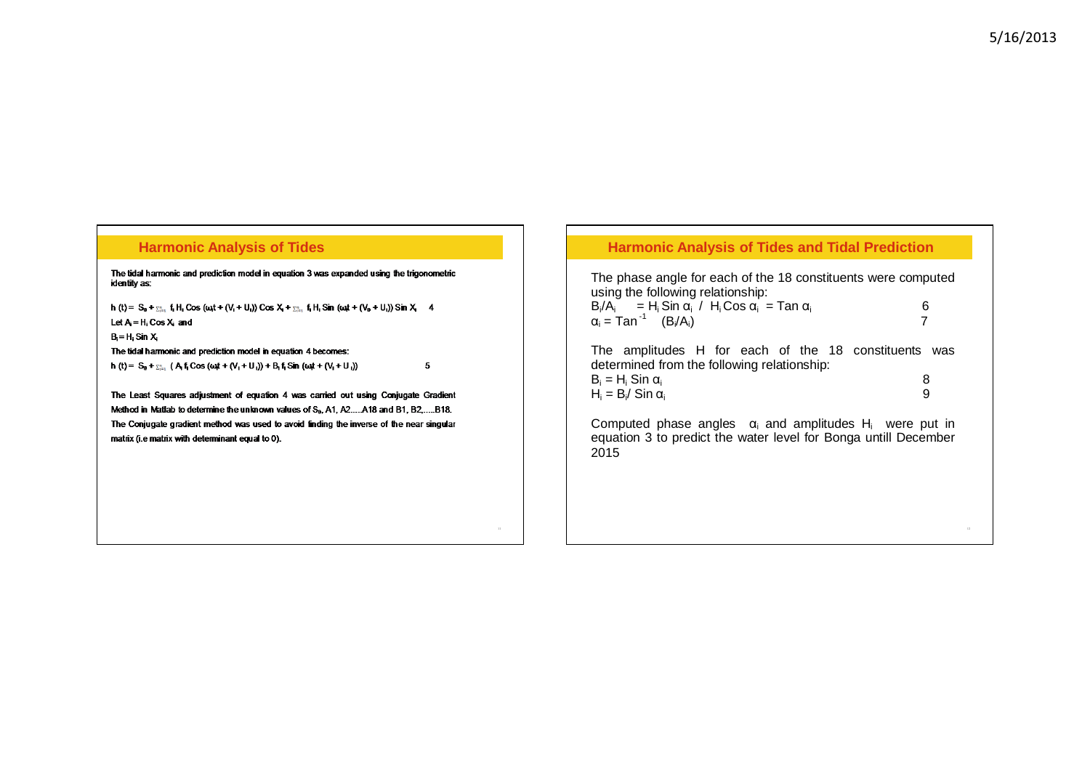#### **Harmonic Analysis of Tides**

The tidal harmonic and prediction model in equation 3 was expanded using the trigonometric identity as:

h (t) =  $S_0 + \sum_{i=1}^n f_i H_i$  Cos (cost + (V<sub>i</sub> + U<sub>i</sub>)) Cos  $X_i + \sum_{i=1}^n f_i H_i$  Sin (cost + (V<sub>0</sub> + U<sub>i</sub>)) Sin  $X_i$  4 Let  $A = H_i \cos X_i$  and

 $B_i = H_i$  Sin  $X_i$ 

The tidal harmonic and prediction model in equation 4 becomes: h (t) =  $S_0 + \sum_{i=1}^n (A_i f_i \cos(i\omega t + (V_i + U_i)) + B_i f_i \sin(i\omega t + (V_i + U_i)))$ 

The Least Squares adjustment of equation 4 was carried out using Conjugate Gradient Method in Matlab to determine the unknown values of S<sub>0</sub>, A1, A2....A18 and B1, B2,....B18. The Conjugate gradient method was used to avoid finding the inverse of the near singular matrix (i.e matrix with determinant equal to 0).

 $\overline{\mathbf{5}}$ 

#### **Harmonic Analysis of Tides and Tidal Prediction**

| The phase angle for each of the 18 constituents were computed                                       |   |
|-----------------------------------------------------------------------------------------------------|---|
| using the following relationship:                                                                   |   |
| $B_i/A_i = H_i$ Sin $\alpha_i$ / $H_i$ Cos $\alpha_i =$ Tan $\alpha_i$                              | 6 |
| $\alpha_i = \text{Tan}^{-1}$ (B <sub>i</sub> /A <sub>i</sub> )                                      |   |
|                                                                                                     |   |
| The amplitudes H for each of the 18 constituents was<br>determined from the following relationship: |   |
|                                                                                                     |   |
| $B_i = H_i$ Sin $\alpha_i$                                                                          |   |

| וט וווט ווי דו              |  |
|-----------------------------|--|
| $H_i = B_i / \sin \alpha_i$ |  |

Computed phase angles  $\alpha_i$  and amplitudes H<sub>i</sub> were put in equation 3 to predict the water level for Bonga untill December 2015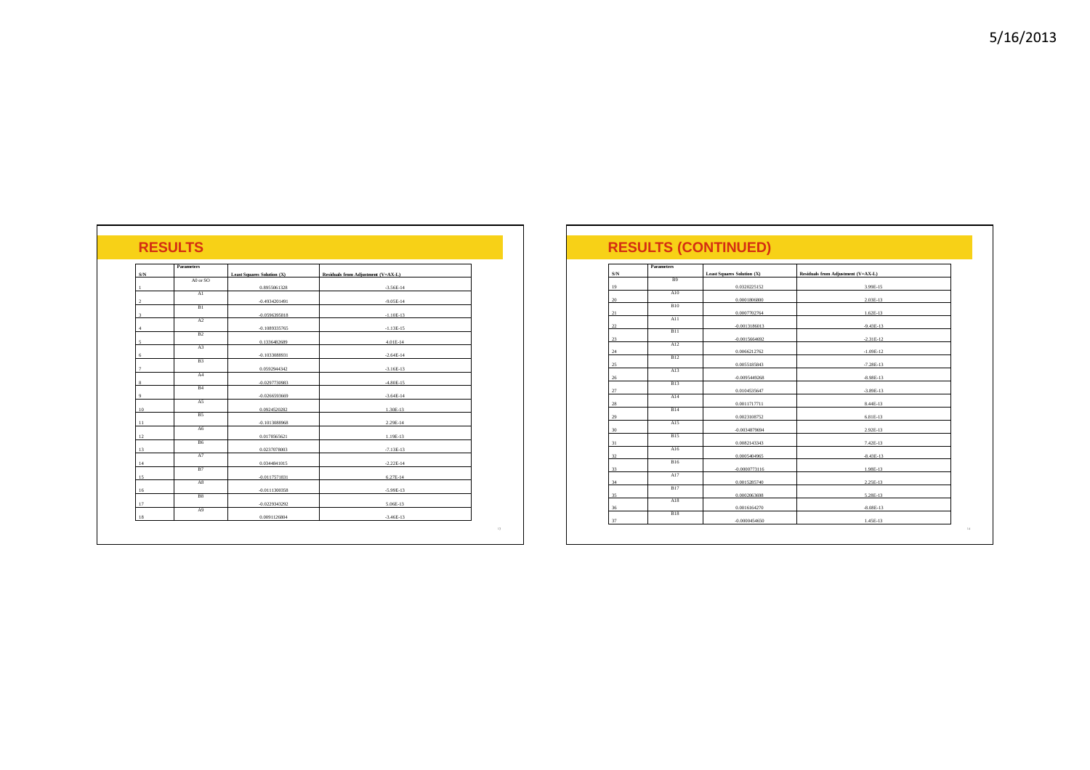| $\ensuremath{\mathrm{S/N}}$ | Parameters     | <b>Least Squares Solution (X)</b> | Residuals from Adjustment (V=AX-L) |
|-----------------------------|----------------|-----------------------------------|------------------------------------|
|                             | A0 or SO       |                                   |                                    |
|                             | A1             | 0.8955061328                      | $-3.56E - 14$                      |
| $\overline{2}$              |                | $-0.4934201491$                   | $-9.05E-14$                        |
|                             | B1             |                                   |                                    |
| $\mathbf{3}$                | A2             | $-0.0596395818$                   | $-1.10E-13$                        |
| $\overline{4}$              |                | $-0.1089335765$                   | $-1.13E-15$                        |
|                             | B <sub>2</sub> |                                   |                                    |
| 5                           | A3             | 0.1336482689                      | 4.01E-14                           |
| 6                           |                | $-0.1033088931$                   | $-2.64E-14$                        |
|                             | B <sub>3</sub> |                                   |                                    |
| $\overline{7}$              |                | 0.0592944342                      | $-3.16E-13$                        |
| 8                           | A4             | $-0.0297730983$                   | $-4.80E-15$                        |
|                             | B <sub>4</sub> |                                   |                                    |
| $\mathbf Q$                 |                | $-0.0266593669$                   | $-3.64E-14$                        |
| 10                          | A5             | 0.0924520282                      | 1.30E-13                           |
|                             | <b>B5</b>      |                                   |                                    |
| 11                          |                | $-0.1013088968$                   | 2.29E-14                           |
| 12                          | A6             | 0.0178565621                      | 1.19E-13                           |
|                             | B6             |                                   |                                    |
| 13                          |                | 0.0237078003                      | $-7.13E-13$                        |
|                             | A7             |                                   |                                    |
| 14                          | B7             | 0.0344841015                      | $-2.22E-14$                        |
| 15                          |                | $-0.0117571831$                   | 6.27E-14                           |
|                             | A8             |                                   |                                    |
| 16                          | B8             | $-0.0111300358$                   | $-5.99E-13$                        |
| 17                          |                | $-0.0229343292$                   | 5.06E-13                           |
|                             | A9             |                                   |                                    |

|     | <b>Parameters</b> |                                   |                                    |
|-----|-------------------|-----------------------------------|------------------------------------|
| S/N |                   | <b>Least Squares Solution (X)</b> | Residuals from Adjustment (V=AX-L) |
| 19  | <b>B</b> 9        | 0.0320225152                      | 3.99E-15                           |
| 20  | A10               | 0.0001806800                      | 2.03E-13                           |
|     | <b>B10</b>        |                                   |                                    |
| 21  | A11               | 0.0007702764                      | $1.62E-13$                         |
| 22  | <b>B11</b>        | $-0.0013186013$                   | $-9.43E-13$                        |
| 23  | A12               | $-0.0015664692$                   | $-2.31E-12$                        |
| 24  |                   | 0.0066212762                      | $-1.09E-12$                        |
| 25  | <b>B12</b>        | 0.0055185843                      | $-7.28E-13$                        |
| 26  | A13               | $-0.0095449268$                   | $-8.98E-13$                        |
|     | <b>B13</b>        |                                   | $-3.89E-13$                        |
| 27  | A14               | 0.0104535647                      |                                    |
| 28  | <b>B14</b>        | 0.0011717711                      | 8.44E-13                           |
| 29  | A15               | 0.0023108752                      | 6.81E-13                           |
| 30  | <b>B15</b>        | $-0.0034879694$                   | 2.92E-13                           |
| 31  |                   | 0.0082143343                      | 7.42E-13                           |
| 32  | A16               | 0.0005404965                      | $-8.43E-13$                        |
| 33  | <b>B16</b>        | $-0.0000773116$                   | 1.98E-13                           |
| 34  | A17               | 0.0015285740                      | 2.25E-13                           |
|     | <b>B17</b>        |                                   |                                    |
| 35  | A18               | 0.0002063698                      | 5.28E-13                           |
| 36  | <b>B18</b>        | 0.0016164270                      | $-8.08E-13$                        |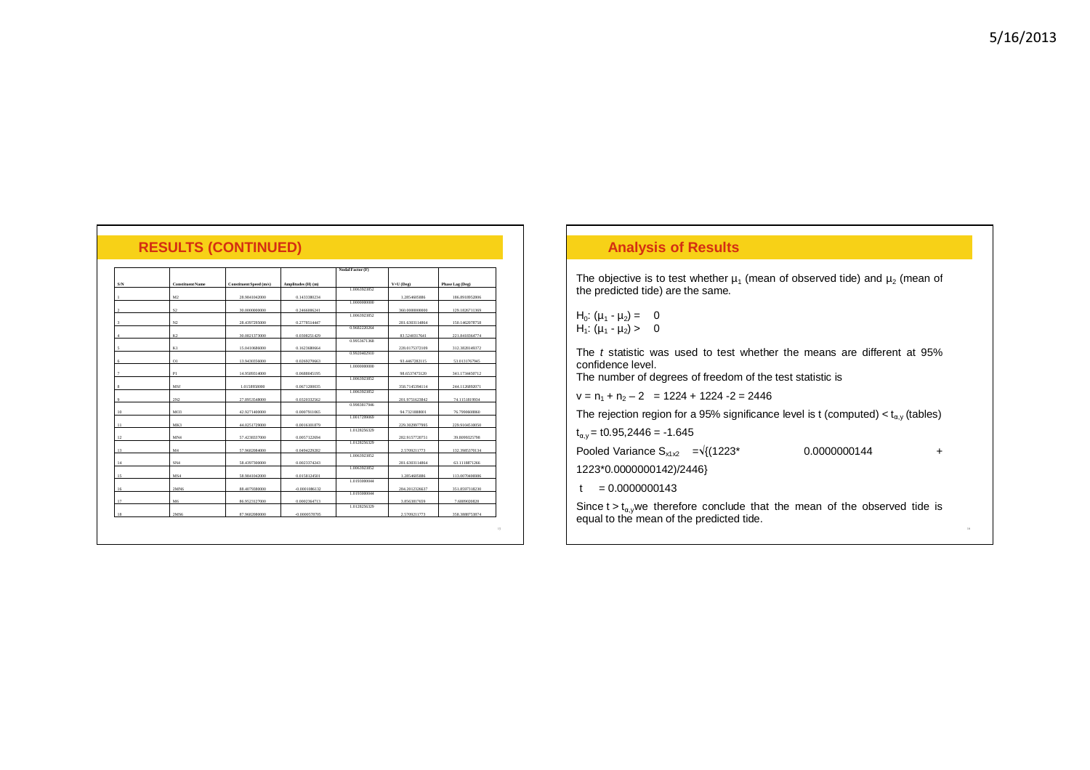| 5/16/2013 |
|-----------|
|-----------|

|     |                         |                         |                    | Nodal Factor (I |  |  |
|-----|-------------------------|-------------------------|--------------------|-----------------|--|--|
|     |                         |                         |                    |                 |  |  |
| S/N | <b>Constituent Name</b> | Constituent Speed (m/s) | Amplitudes (H) (m) |                 |  |  |
|     |                         |                         |                    | 1.006392        |  |  |
|     | M <sub>2</sub>          | 28.9841042000           | 0.1433380234       |                 |  |  |
|     |                         |                         |                    | L000000         |  |  |

**RESULTS (CONTINUED)**

| S/N            | <b>Constituent Name</b> | Constituent Speed (m/s) | Amplitudes (H) (m) |              | $V+U$ (Deg)    | Phase Lag (Deg) |
|----------------|-------------------------|-------------------------|--------------------|--------------|----------------|-----------------|
|                |                         |                         |                    | 1.0063923852 |                |                 |
|                | M <sub>2</sub>          | 28.9841042000           | 0.1433380234       |              | 1.2854605886   | 186.8918952806  |
|                |                         |                         |                    | 1.000000000  |                |                 |
| $\overline{2}$ | S <sub>2</sub>          | 30.0000000000           | 0.2466006241       |              | 360.0000000000 | 129.1826711369  |
|                |                         |                         |                    | 1.0063923852 |                |                 |
| $\mathcal{R}$  | N2                      | 28.4397295000           | 0.2778514447       |              | 281.6303114864 | 150.1462078758  |
|                |                         |                         |                    | 0.9682220264 |                |                 |
| $\Delta$       | K2                      | 30.0821373000           | 0.0308251429       |              | 83.5240317641  | 221.8418364774  |
|                |                         |                         |                    | 0.9953671368 |                |                 |
| 5              | KI                      | 15.0410686000           | 0.1623680664       |              | 228.0175372109 | 312.3828149372  |
|                |                         |                         |                    | 0.9920402910 |                |                 |
|                |                         |                         |                    |              |                |                 |
| 6              | O1                      | 13.9430356000           | 0.0269270663       | 1.000000000  | 93.4467282115  | 53.0131767945   |
|                |                         |                         |                    |              |                |                 |
| $\overline{7}$ | PI                      | 14.9589314000           | 0.0688045195       | 1.0063923852 | 98.6537475120  | 341.1734450712  |
|                |                         |                         |                    |              |                |                 |
| я              | MSf                     | 1.0158958000            | 0.0671200035       |              | 358.7145394114 | 244.1126892071  |
|                |                         |                         |                    | 1.0063923852 |                |                 |
| $\mathbf Q$    | 2N2                     | 27.8953548000           | 0.0320332562       |              | 201.9751623842 | 74.1151819934   |
|                |                         |                         |                    | 0.9983817946 |                |                 |
| 10             | MO <sub>3</sub>         | 42.9271400000           | 0.0007911065       |              | 94.7321888001  | 76.7990608860   |
|                |                         |                         |                    | 1.0017299069 |                |                 |
| $_{11}$        | MK3                     | 44.0251729000           | 0.0016101879       |              | 229.3029977995 | 229.9104510050  |
|                |                         |                         |                    | 1.0128256329 |                |                 |
| 12             | MN <sub>4</sub>         | 57.4238337000           | 0.0057122694       |              | 282.9157720751 | 39.8099325798   |
|                |                         |                         |                    | 1.0128256329 |                |                 |
| 13             | M <sub>4</sub>          | 57.9682084000           | 0.0494229282       |              | 2.5709211773   | 132.3985370134  |
|                |                         |                         |                    | 1.0063923852 |                |                 |
| 14             | SN <sub>4</sub>         | 58,4397300000           | 0.0023374243       |              | 281.6303114864 | 63.1118871266   |
|                |                         |                         |                    | 1.0063923852 |                |                 |
| 15             | MS4                     | 58.9841042000           | 0.0158124501       |              | 1.2854605886   | 113.0070406986  |
|                |                         |                         |                    | 1.0193000044 |                |                 |
| 16             | 2MN6                    | 88,4079380000           | $-0.0001086132$    |              | 284.2012326637 | 351.8597318230  |
|                |                         |                         |                    | 1.0193000044 |                |                 |
| 17             | M6                      | 86.9523127000           | 0.0002364713       |              | 3.8563817659   | 7.6889020828    |
|                |                         |                         |                    | 1.0128256329 |                |                 |
| 18             | 2MS6                    | 87.9682080000           |                    |              | 2.5709211773   | 358.3888753874  |
|                |                         |                         | $-0.0000578705$    |              |                |                 |

#### **Analysis of Results**

The objective is to test whether  $\mu_1$  (mean of observed tide) and  $\mu_2$  (mean of the predicted tide) are the same.

H<sub>0</sub>:  $(\mu_1 - \mu_2) = 0$  $H_1$ :  $(\mu_1 - \mu_2) > 0$ 

The t statistic was used to test whether the means are different at 95% confidence level.

The number of degrees of freedom of the test statistic is

 $v = n_1 + n_2 - 2 = 1224 + 1224 - 2 = 2446$ 

The rejection region for a 95% significance level is t (computed)  $< t_{\alpha,y}$  (tables)

 $t_{\alpha,y}$  = t0.95,2446 = -1.645

Pooled Variance Sx1x2 <sup>=</sup>√{(1223\* 0.0000000144 +

1223\*0.0000000142)/2446}

 $t = 0.0000000143$ 

Since t > t<sub>a,y</sub>we therefore conclude that the mean of the observed tide is equal to the mean of the predicted tide.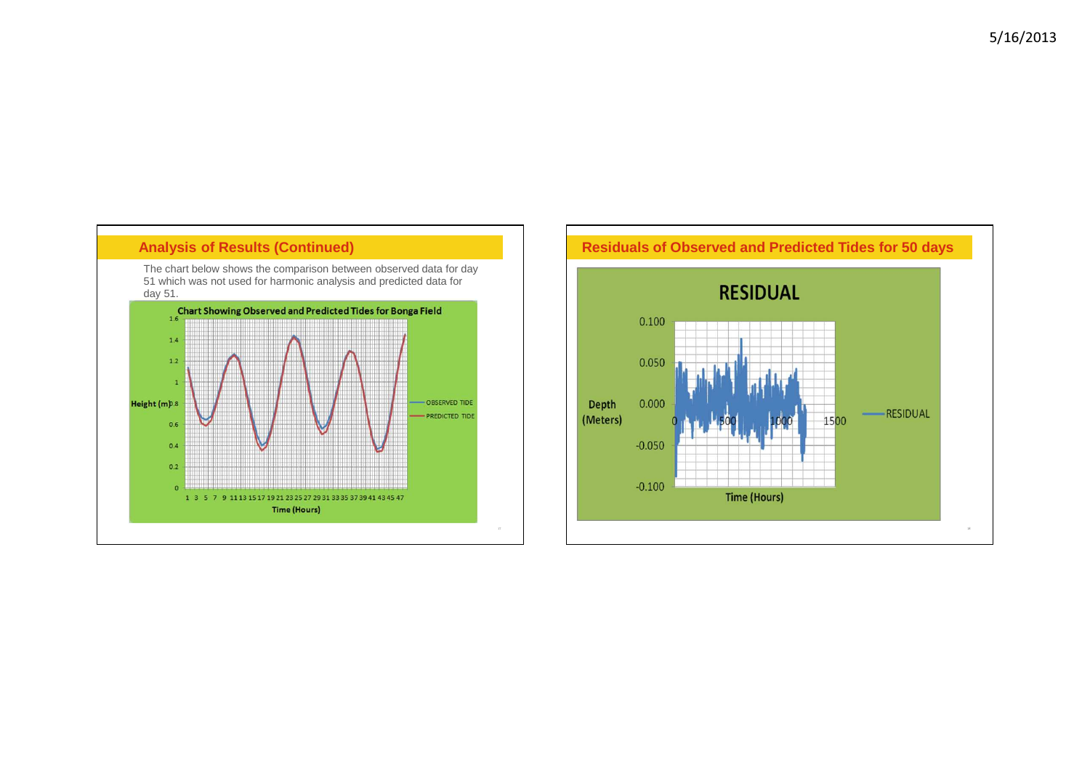# **Analysis of Results (Continued)**

The chart below shows the comparison between observed data for day 51 which was not used for harmonic analysis and predicted data for day 51.



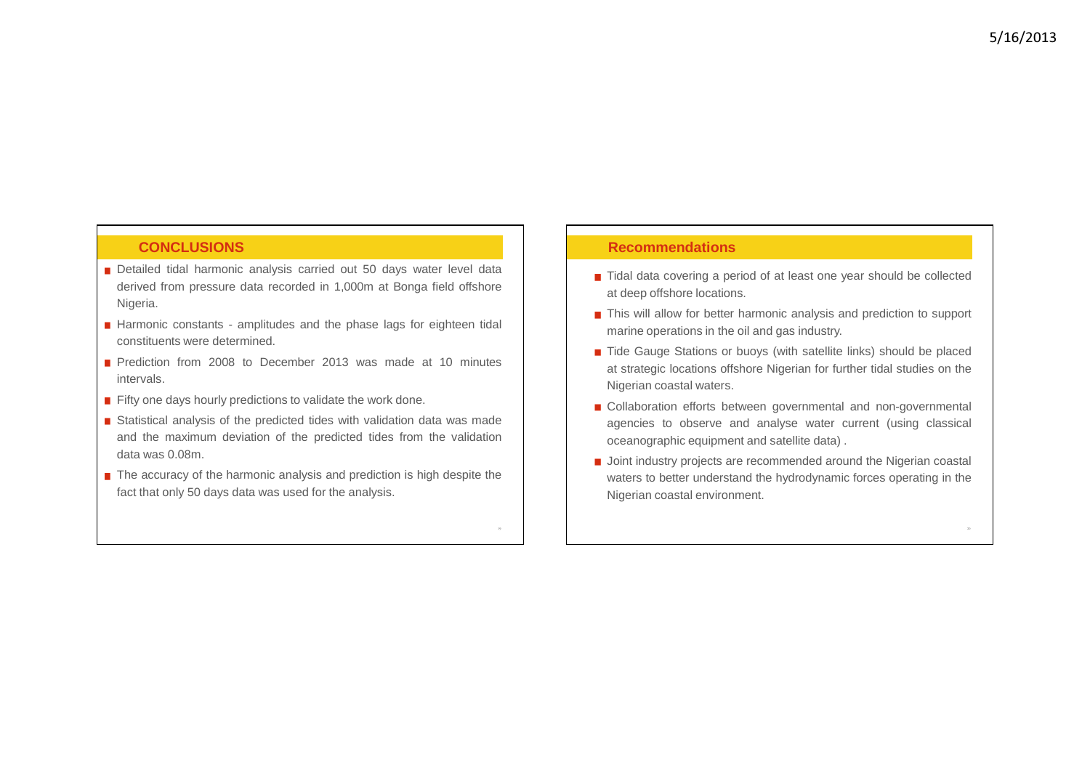### **CONCLUSIONS**

- Detailed tidal harmonic analysis carried out 50 days water level data derived from pressure data recorded in 1,000m at Bonga field offshore Nigeria.
- Harmonic constants amplitudes and the phase lags for eighteen tidal constituents were determined.
- **Prediction from 2008 to December 2013 was made at 10 minutes** intervals.
- $\blacksquare$  Fifty one days hourly predictions to validate the work done.
- Statistical analysis of the predicted tides with validation data was made and the maximum deviation of the predicted tides from the validationdata was 0.08m.
- The accuracy of the harmonic analysis and prediction is high despite the fact that only 50 days data was used for the analysis.

#### **Recommendations**

- Tidal data covering a period of at least one year should be collected at deep offshore locations.
- This will allow for better harmonic analysis and prediction to support marine operations in the oil and gas industry.
- Tide Gauge Stations or buoys (with satellite links) should be placed at strategic locations offshore Nigerian for further tidal studies on theNigerian coastal waters.
- Collaboration efforts between governmental and non-governmental agencies to observe and analyse water current (using classical oceanographic equipment and satellite data) .
- **Joint industry projects are recommended around the Nigerian coastal** waters to better understand the hydrodynamic forces operating in theNigerian coastal environment.